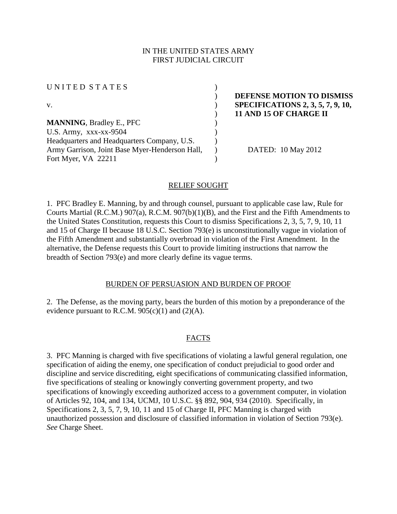## IN THE UNITED STATES ARMY FIRST JUDICIAL CIRCUIT

| UNITED STATES                                  |                |
|------------------------------------------------|----------------|
|                                                | <b>DEFENS</b>  |
| v.                                             | <b>SPECIFI</b> |
|                                                | <b>11 AND</b>  |
| <b>MANNING, Bradley E., PFC</b>                |                |
| U.S. Army, $xxxx-xx-9504$                      |                |
| Headquarters and Headquarters Company, U.S.    |                |
| Army Garrison, Joint Base Myer-Henderson Hall, | DAT            |
| Fort Myer, VA 22211                            |                |
|                                                |                |

**E MOTION TO DISMISS** v. ) **SPECIFICATIONS 2, 3, 5, 7, 9, 10, 15 OF CHARGE II** 

ED: 10 May 2012

# RELIEF SOUGHT

1. PFC Bradley E. Manning, by and through counsel, pursuant to applicable case law, Rule for Courts Martial (R.C.M.) 907(a), R.C.M. 907(b)(1)(B), and the First and the Fifth Amendments to the United States Constitution, requests this Court to dismiss Specifications 2, 3, 5, 7, 9, 10, 11 and 15 of Charge II because 18 U.S.C. Section 793(e) is unconstitutionally vague in violation of the Fifth Amendment and substantially overbroad in violation of the First Amendment. In the alternative, the Defense requests this Court to provide limiting instructions that narrow the breadth of Section 793(e) and more clearly define its vague terms.

# BURDEN OF PERSUASION AND BURDEN OF PROOF

2. The Defense, as the moving party, bears the burden of this motion by a preponderance of the evidence pursuant to R.C.M.  $905(c)(1)$  and  $(2)(A)$ .

# FACTS

3. PFC Manning is charged with five specifications of violating a lawful general regulation, one specification of aiding the enemy, one specification of conduct prejudicial to good order and discipline and service discrediting, eight specifications of communicating classified information, five specifications of stealing or knowingly converting government property, and two specifications of knowingly exceeding authorized access to a government computer, in violation of Articles 92, 104, and 134, UCMJ, 10 U.S.C. §§ 892, 904, 934 (2010). Specifically, in Specifications 2, 3, 5, 7, 9, 10, 11 and 15 of Charge II, PFC Manning is charged with unauthorized possession and disclosure of classified information in violation of Section 793(e). *See* Charge Sheet.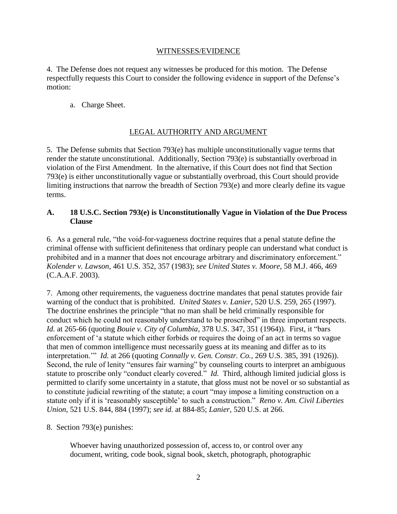#### WITNESSES/EVIDENCE

4. The Defense does not request any witnesses be produced for this motion. The Defense respectfully requests this Court to consider the following evidence in support of the Defense's motion:

a. Charge Sheet.

# LEGAL AUTHORITY AND ARGUMENT

5. The Defense submits that Section 793(e) has multiple unconstitutionally vague terms that render the statute unconstitutional. Additionally, Section 793(e) is substantially overbroad in violation of the First Amendment. In the alternative, if this Court does not find that Section 793(e) is either unconstitutionally vague or substantially overbroad, this Court should provide limiting instructions that narrow the breadth of Section 793(e) and more clearly define its vague terms.

#### **A. 18 U.S.C. Section 793(e) is Unconstitutionally Vague in Violation of the Due Process Clause**

6. As a general rule, "the void-for-vagueness doctrine requires that a penal statute define the criminal offense with sufficient definiteness that ordinary people can understand what conduct is prohibited and in a manner that does not encourage arbitrary and discriminatory enforcement." *Kolender v. Lawson*, 461 U.S. 352, 357 (1983); *see United States v. Moore*, 58 M.J. 466, 469 (C.A.A.F. 2003).

7. Among other requirements, the vagueness doctrine mandates that penal statutes provide fair warning of the conduct that is prohibited. *United States v. Lanier*, 520 U.S. 259, 265 (1997). The doctrine enshrines the principle "that no man shall be held criminally responsible for conduct which he could not reasonably understand to be proscribed" in three important respects. *Id.* at 265-66 (quoting *Bouie v. City of Columbia*, 378 U.S. 347, 351 (1964)). First, it "bars enforcement of 'a statute which either forbids or requires the doing of an act in terms so vague that men of common intelligence must necessarily guess at its meaning and differ as to its interpretation.'" *Id.* at 266 (quoting *Connally v. Gen. Constr. Co.*, 269 U.S. 385, 391 (1926)). Second, the rule of lenity "ensures fair warning" by counseling courts to interpret an ambiguous statute to proscribe only "conduct clearly covered." *Id.* Third, although limited judicial gloss is permitted to clarify some uncertainty in a statute, that gloss must not be novel or so substantial as to constitute judicial rewriting of the statute; a court "may impose a limiting construction on a statute only if it is 'reasonably susceptible' to such a construction." *Reno v. Am. Civil Liberties Union*, 521 U.S. 844, 884 (1997); *see id.* at 884-85; *Lanier*, 520 U.S. at 266.

8. Section 793(e) punishes:

Whoever having unauthorized possession of, access to, or control over any document, writing, code book, signal book, sketch, photograph, photographic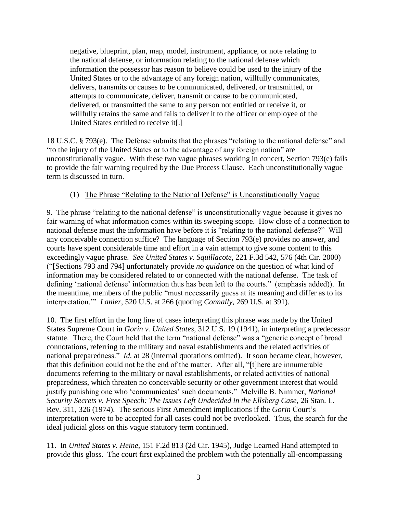negative, blueprint, plan, map, model, instrument, appliance, or note relating to the national defense, or information relating to the national defense which information the possessor has reason to believe could be used to the injury of the United States or to the advantage of any foreign nation, willfully communicates, delivers, transmits or causes to be communicated, delivered, or transmitted, or attempts to communicate, deliver, transmit or cause to be communicated, delivered, or transmitted the same to any person not entitled or receive it, or willfully retains the same and fails to deliver it to the officer or employee of the United States entitled to receive it[.]

18 U.S.C. § 793(e). The Defense submits that the phrases "relating to the national defense" and "to the injury of the United States or to the advantage of any foreign nation" are unconstitutionally vague. With these two vague phrases working in concert, Section 793(e) fails to provide the fair warning required by the Due Process Clause. Each unconstitutionally vague term is discussed in turn.

# (1) The Phrase "Relating to the National Defense" is Unconstitutionally Vague

9. The phrase "relating to the national defense" is unconstitutionally vague because it gives no fair warning of what information comes within its sweeping scope. How close of a connection to national defense must the information have before it is "relating to the national defense?" Will any conceivable connection suffice? The language of Section 793(e) provides no answer, and courts have spent considerable time and effort in a vain attempt to give some content to this exceedingly vague phrase. *See United States v. Squillacote*, 221 F.3d 542, 576 (4th Cir. 2000) ("[Sections 793 and 794] unfortunately provide *no guidance* on the question of what kind of information may be considered related to or connected with the national defense. The task of defining 'national defense' information thus has been left to the courts." (emphasis added)). In the meantime, members of the public "must necessarily guess at its meaning and differ as to its interpretation.'" *Lanier*, 520 U.S. at 266 (quoting *Connally*, 269 U.S. at 391).

10. The first effort in the long line of cases interpreting this phrase was made by the United States Supreme Court in *Gorin v. United States*, 312 U.S. 19 (1941), in interpreting a predecessor statute. There, the Court held that the term "national defense" was a "generic concept of broad connotations, referring to the military and naval establishments and the related activities of national preparedness." *Id.* at 28 (internal quotations omitted). It soon became clear, however, that this definition could not be the end of the matter. After all, "[t]here are innumerable documents referring to the military or naval establishments, or related activities of national preparedness, which threaten no conceivable security or other government interest that would justify punishing one who 'communicates' such documents." Melville B. Nimmer, *National Security Secrets v. Free Speech: The Issues Left Undecided in the Ellsberg Case*, 26 Stan. L. Rev. 311, 326 (1974). The serious First Amendment implications if the *Gorin* Court's interpretation were to be accepted for all cases could not be overlooked. Thus, the search for the ideal judicial gloss on this vague statutory term continued.

11. In *United States v. Heine*, 151 F.2d 813 (2d Cir. 1945), Judge Learned Hand attempted to provide this gloss. The court first explained the problem with the potentially all-encompassing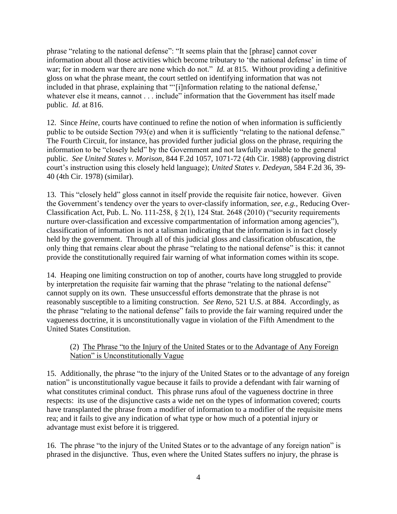phrase "relating to the national defense": "It seems plain that the [phrase] cannot cover information about all those activities which become tributary to 'the national defense' in time of war; for in modern war there are none which do not." *Id.* at 815. Without providing a definitive gloss on what the phrase meant, the court settled on identifying information that was not included in that phrase, explaining that "'[i]nformation relating to the national defense,' whatever else it means, cannot . . . include" information that the Government has itself made public. *Id.* at 816.

12. Since *Heine*, courts have continued to refine the notion of when information is sufficiently public to be outside Section 793(e) and when it is sufficiently "relating to the national defense." The Fourth Circuit, for instance, has provided further judicial gloss on the phrase, requiring the information to be "closely held" by the Government and not lawfully available to the general public. *See United States v. Morison*, 844 F.2d 1057, 1071-72 (4th Cir. 1988) (approving district court's instruction using this closely held language); *United States v. Dedeyan*, 584 F.2d 36, 39- 40 (4th Cir. 1978) (similar).

13. This "closely held" gloss cannot in itself provide the requisite fair notice, however. Given the Government's tendency over the years to over-classify information, *see, e.g.,* Reducing Over-Classification Act, Pub. L. No. 111-258, § 2(1), 124 Stat. 2648 (2010) ("security requirements nurture over-classification and excessive compartmentation of information among agencies"), classification of information is not a talisman indicating that the information is in fact closely held by the government. Through all of this judicial gloss and classification obfuscation, the only thing that remains clear about the phrase "relating to the national defense" is this: it cannot provide the constitutionally required fair warning of what information comes within its scope.

14. Heaping one limiting construction on top of another, courts have long struggled to provide by interpretation the requisite fair warning that the phrase "relating to the national defense" cannot supply on its own. These unsuccessful efforts demonstrate that the phrase is not reasonably susceptible to a limiting construction. *See Reno*, 521 U.S. at 884. Accordingly, as the phrase "relating to the national defense" fails to provide the fair warning required under the vagueness doctrine, it is unconstitutionally vague in violation of the Fifth Amendment to the United States Constitution.

# (2) The Phrase "to the Injury of the United States or to the Advantage of Any Foreign Nation" is Unconstitutionally Vague

15. Additionally, the phrase "to the injury of the United States or to the advantage of any foreign nation" is unconstitutionally vague because it fails to provide a defendant with fair warning of what constitutes criminal conduct. This phrase runs afoul of the vagueness doctrine in three respects: its use of the disjunctive casts a wide net on the types of information covered; courts have transplanted the phrase from a modifier of information to a modifier of the requisite mens rea; and it fails to give any indication of what type or how much of a potential injury or advantage must exist before it is triggered.

16. The phrase "to the injury of the United States or to the advantage of any foreign nation" is phrased in the disjunctive. Thus, even where the United States suffers no injury, the phrase is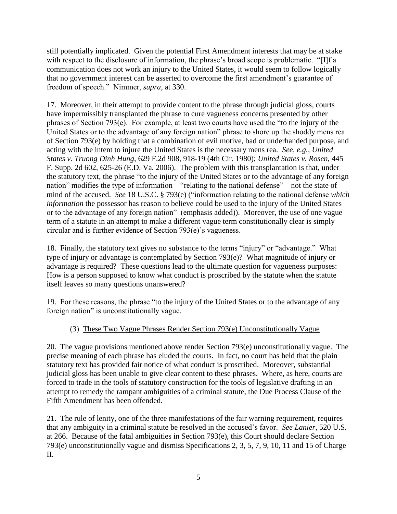still potentially implicated. Given the potential First Amendment interests that may be at stake with respect to the disclosure of information, the phrase's broad scope is problematic. "[I]f a communication does not work an injury to the United States, it would seem to follow logically that no government interest can be asserted to overcome the first amendment's guarantee of freedom of speech." Nimmer, *supra*, at 330.

17. Moreover, in their attempt to provide content to the phrase through judicial gloss, courts have impermissibly transplanted the phrase to cure vagueness concerns presented by other phrases of Section 793(e). For example, at least two courts have used the "to the injury of the United States or to the advantage of any foreign nation" phrase to shore up the shoddy mens rea of Section 793(e) by holding that a combination of evil motive, bad or underhanded purpose, and acting with the intent to injure the United States is the necessary mens rea. *See, e.g., United States v. Truong Dinh Hung*, 629 F.2d 908, 918-19 (4th Cir. 1980); *United States v. Rosen*, 445 F. Supp. 2d 602, 625-26 (E.D. Va. 2006). The problem with this transplantation is that, under the statutory text, the phrase "to the injury of the United States or to the advantage of any foreign nation" modifies the type of information – "relating to the national defense" – not the state of mind of the accused. *See* 18 U.S.C. § 793(e) ("information relating to the national defense *which information* the possessor has reason to believe could be used to the injury of the United States or to the advantage of any foreign nation" (emphasis added)). Moreover, the use of one vague term of a statute in an attempt to make a different vague term constitutionally clear is simply circular and is further evidence of Section 793(e)'s vagueness.

18. Finally, the statutory text gives no substance to the terms "injury" or "advantage." What type of injury or advantage is contemplated by Section 793(e)? What magnitude of injury or advantage is required? These questions lead to the ultimate question for vagueness purposes: How is a person supposed to know what conduct is proscribed by the statute when the statute itself leaves so many questions unanswered?

19. For these reasons, the phrase "to the injury of the United States or to the advantage of any foreign nation" is unconstitutionally vague.

# (3) These Two Vague Phrases Render Section 793(e) Unconstitutionally Vague

20. The vague provisions mentioned above render Section 793(e) unconstitutionally vague. The precise meaning of each phrase has eluded the courts. In fact, no court has held that the plain statutory text has provided fair notice of what conduct is proscribed. Moreover, substantial judicial gloss has been unable to give clear content to these phrases. Where, as here, courts are forced to trade in the tools of statutory construction for the tools of legislative drafting in an attempt to remedy the rampant ambiguities of a criminal statute, the Due Process Clause of the Fifth Amendment has been offended.

21. The rule of lenity, one of the three manifestations of the fair warning requirement, requires that any ambiguity in a criminal statute be resolved in the accused's favor. *See Lanier*, 520 U.S. at 266. Because of the fatal ambiguities in Section 793(e), this Court should declare Section 793(e) unconstitutionally vague and dismiss Specifications 2, 3, 5, 7, 9, 10, 11 and 15 of Charge II.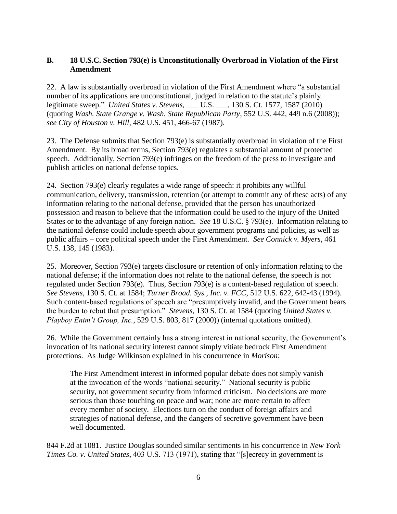# **B. 18 U.S.C. Section 793(e) is Unconstitutionally Overbroad in Violation of the First Amendment**

22. A law is substantially overbroad in violation of the First Amendment where "a substantial number of its applications are unconstitutional, judged in relation to the statute's plainly legitimate sweep." *United States v. Stevens*, \_\_\_ U.S. \_\_\_, 130 S. Ct. 1577, 1587 (2010) (quoting *Wash. State Grange v. Wash. State Republican Party*, 552 U.S. 442, 449 n.6 (2008)); *see City of Houston v. Hill*, 482 U.S. 451, 466-67 (1987).

23. The Defense submits that Section 793(e) is substantially overbroad in violation of the First Amendment. By its broad terms, Section 793(e) regulates a substantial amount of protected speech. Additionally, Section 793(e) infringes on the freedom of the press to investigate and publish articles on national defense topics.

24. Section 793(e) clearly regulates a wide range of speech: it prohibits any willful communication, delivery, transmission, retention (or attempt to commit any of these acts) of any information relating to the national defense, provided that the person has unauthorized possession and reason to believe that the information could be used to the injury of the United States or to the advantage of any foreign nation. *See* 18 U.S.C. § 793(e). Information relating to the national defense could include speech about government programs and policies, as well as public affairs – core political speech under the First Amendment. *See Connick v. Myers*, 461 U.S. 138, 145 (1983).

25. Moreover, Section 793(e) targets disclosure or retention of only information relating to the national defense; if the information does not relate to the national defense, the speech is not regulated under Section 793(e). Thus, Section 793(e) is a content-based regulation of speech. *See Stevens*, 130 S. Ct. at 1584; *Turner Broad. Sys., Inc. v. FCC*, 512 U.S. 622, 642-43 (1994). Such content-based regulations of speech are "presumptively invalid, and the Government bears the burden to rebut that presumption." *Stevens*, 130 S. Ct. at 1584 (quoting *United States v. Playboy Entm't Group, Inc.*, 529 U.S. 803, 817 (2000)) (internal quotations omitted).

26. While the Government certainly has a strong interest in national security, the Government's invocation of its national security interest cannot simply vitiate bedrock First Amendment protections. As Judge Wilkinson explained in his concurrence in *Morison*:

The First Amendment interest in informed popular debate does not simply vanish at the invocation of the words "national security." National security is public security, not government security from informed criticism. No decisions are more serious than those touching on peace and war; none are more certain to affect every member of society. Elections turn on the conduct of foreign affairs and strategies of national defense, and the dangers of secretive government have been well documented.

844 F.2d at 1081. Justice Douglas sounded similar sentiments in his concurrence in *New York Times Co. v. United States*, 403 U.S. 713 (1971), stating that "[s]ecrecy in government is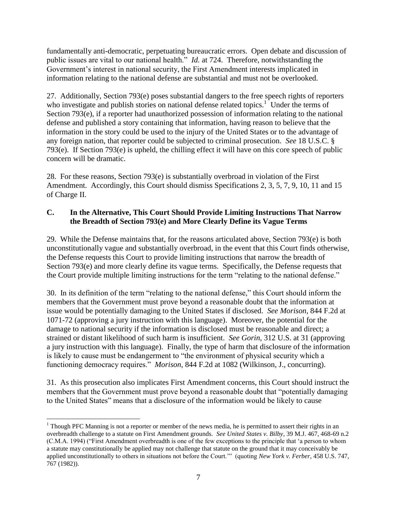fundamentally anti-democratic, perpetuating bureaucratic errors. Open debate and discussion of public issues are vital to our national health." *Id.* at 724. Therefore, notwithstanding the Government's interest in national security, the First Amendment interests implicated in information relating to the national defense are substantial and must not be overlooked.

27. Additionally, Section 793(e) poses substantial dangers to the free speech rights of reporters who investigate and publish stories on national defense related topics.<sup>1</sup> Under the terms of Section 793(e), if a reporter had unauthorized possession of information relating to the national defense and published a story containing that information, having reason to believe that the information in the story could be used to the injury of the United States or to the advantage of any foreign nation, that reporter could be subjected to criminal prosecution. *See* 18 U.S.C. § 793(e). If Section 793(e) is upheld, the chilling effect it will have on this core speech of public concern will be dramatic.

28. For these reasons, Section 793(e) is substantially overbroad in violation of the First Amendment. Accordingly, this Court should dismiss Specifications 2, 3, 5, 7, 9, 10, 11 and 15 of Charge II.

# **C. In the Alternative, This Court Should Provide Limiting Instructions That Narrow the Breadth of Section 793(e) and More Clearly Define its Vague Terms**

29. While the Defense maintains that, for the reasons articulated above, Section 793(e) is both unconstitutionally vague and substantially overbroad, in the event that this Court finds otherwise, the Defense requests this Court to provide limiting instructions that narrow the breadth of Section 793(e) and more clearly define its vague terms. Specifically, the Defense requests that the Court provide multiple limiting instructions for the term "relating to the national defense."

30. In its definition of the term "relating to the national defense," this Court should inform the members that the Government must prove beyond a reasonable doubt that the information at issue would be potentially damaging to the United States if disclosed. *See Morison*, 844 F.2d at 1071-72 (approving a jury instruction with this language). Moreover, the potential for the damage to national security if the information is disclosed must be reasonable and direct; a strained or distant likelihood of such harm is insufficient. *See Gorin*, 312 U.S. at 31 (approving a jury instruction with this language). Finally, the type of harm that disclosure of the information is likely to cause must be endangerment to "the environment of physical security which a functioning democracy requires." *Morison*, 844 F.2d at 1082 (Wilkinson, J., concurring).

31. As this prosecution also implicates First Amendment concerns, this Court should instruct the members that the Government must prove beyond a reasonable doubt that "potentially damaging to the United States" means that a disclosure of the information would be likely to cause

 $\overline{a}$ 

<sup>&</sup>lt;sup>1</sup> Though PFC Manning is not a reporter or member of the news media, he is permitted to assert their rights in an overbreadth challenge to a statute on First Amendment grounds. *See United States v. Bilby*, 39 M.J. 467, 468-69 n.2 (C.M.A. 1994) ("First Amendment overbreadth is one of the few exceptions to the principle that 'a person to whom a statute may constitutionally be applied may not challenge that statute on the ground that it may conceivably be applied unconstitutionally to others in situations not before the Court.'" (quoting *New York v. Ferber*, 458 U.S. 747, 767 (1982)).